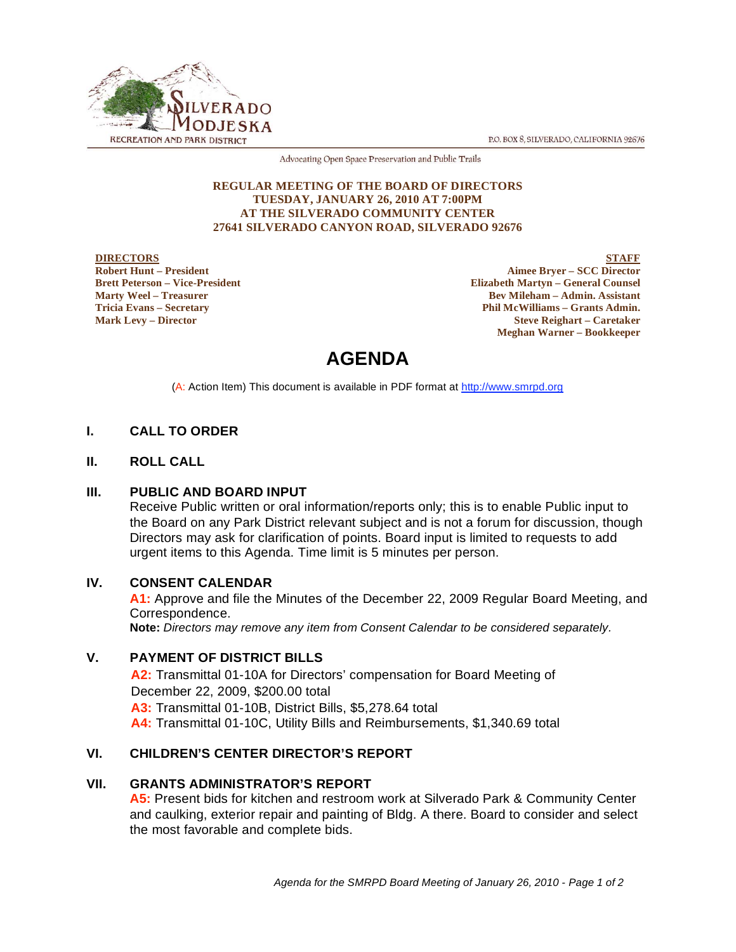P.O. BOX 8, SILVERADO, CALIFORNIA 92676



Advocating Open Space Preservation and Public Trails

#### **REGULAR MEETING OF THE BOARD OF DIRECTORS TUESDAY, JANUARY 26, 2010 AT 7:00PM AT THE SILVERADO COMMUNITY CENTER 27641 SILVERADO CANYON ROAD, SILVERADO 92676**

#### **DIRECTORS Robert Hunt – President Brett Peterson – Vice-President Marty Weel – Treasurer Tricia Evans – Secretary Mark Levy – Director**

**STAFF Aimee Bryer – SCC Director Elizabeth Martyn – General Counsel Bev Mileham – Admin. Assistant Phil McWilliams – Grants Admin. Steve Reighart – Caretaker Meghan Warner – Bookkeeper**

# **AGENDA**

(A: Action Item) This document is available in PDF format at http://www.smrpd.org

# **I. CALL TO ORDER**

# **II. ROLL CALL**

# **III. PUBLIC AND BOARD INPUT**

Receive Public written or oral information/reports only; this is to enable Public input to the Board on any Park District relevant subject and is not a forum for discussion, though Directors may ask for clarification of points. Board input is limited to requests to add urgent items to this Agenda. Time limit is 5 minutes per person.

# **IV. CONSENT CALENDAR**

**A1:** Approve and file the Minutes of the December 22, 2009 Regular Board Meeting, and Correspondence.

**Note:** *Directors may remove any item from Consent Calendar to be considered separately.*

# **V. PAYMENT OF DISTRICT BILLS**

**A2:** Transmittal 01-10A for Directors' compensation for Board Meeting of December 22, 2009, \$200.00 total **A3:** Transmittal 01-10B, District Bills, \$5,278.64 total **A4:** Transmittal 01-10C, Utility Bills and Reimbursements, \$1,340.69 total

# **VI. CHILDREN'S CENTER DIRECTOR'S REPORT**

# **VII. GRANTS ADMINISTRATOR'S REPORT**

**A5:** Present bids for kitchen and restroom work at Silverado Park & Community Center and caulking, exterior repair and painting of Bldg. A there. Board to consider and select the most favorable and complete bids.